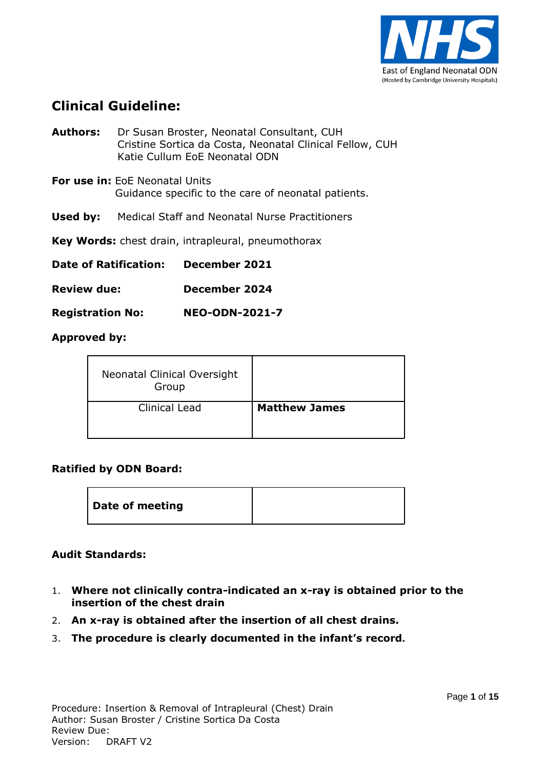

### **Clinical Guideline:**

| <b>Date of Ratification:</b><br>December 2021             |                                                                                                                                         |  |  |
|-----------------------------------------------------------|-----------------------------------------------------------------------------------------------------------------------------------------|--|--|
| <b>Key Words:</b> chest drain, intrapleural, pneumothorax |                                                                                                                                         |  |  |
| Used by:                                                  | Medical Staff and Neonatal Nurse Practitioners                                                                                          |  |  |
|                                                           | <b>For use in: EOE Neonatal Units</b><br>Guidance specific to the care of neonatal patients.                                            |  |  |
| Authors:                                                  | Dr Susan Broster, Neonatal Consultant, CUH<br>Cristine Sortica da Costa, Neonatal Clinical Fellow, CUH<br>Katie Cullum EoE Neonatal ODN |  |  |

**Review due: December 2024**

**Registration No: NEO-ODN-2021-7**

**Approved by:**

| Neonatal Clinical Oversight<br>Group |                      |
|--------------------------------------|----------------------|
| <b>Clinical Lead</b>                 | <b>Matthew James</b> |

#### **Ratified by ODN Board:**

| Date of meeting |  |
|-----------------|--|
|-----------------|--|

#### **Audit Standards:**

- 1. **Where not clinically contra-indicated an x-ray is obtained prior to the insertion of the chest drain**
- 2. **An x-ray is obtained after the insertion of all chest drains.**
- 3. **The procedure is clearly documented in the infant's record.**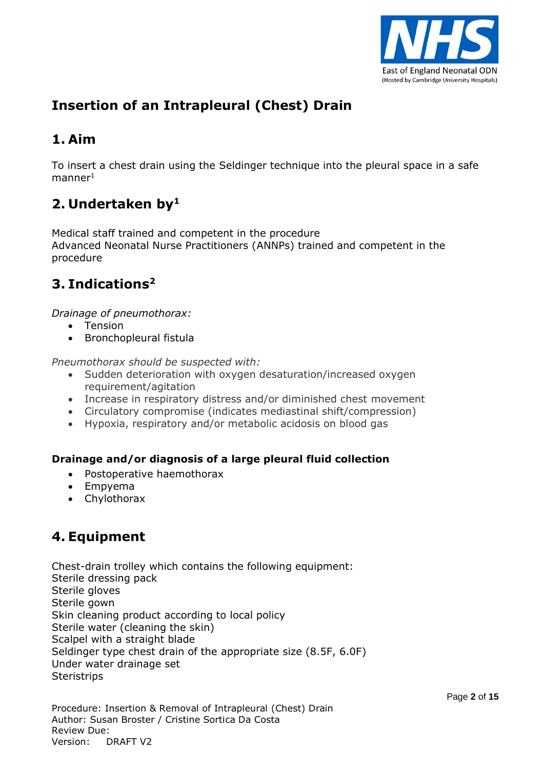

# **Insertion of an Intrapleural (Chest) Drain**

## **1. Aim**

To insert a chest drain using the Seldinger technique into the pleural space in a safe  $m$ anner $1$ 

# **2. Undertaken by<sup>1</sup>**

Medical staff trained and competent in the procedure Advanced Neonatal Nurse Practitioners (ANNPs) trained and competent in the procedure

# **3. Indications<sup>2</sup>**

*Drainage of pneumothorax:*

- Tension
- Bronchopleural fistula

*Pneumothorax should be suspected with:*

- Sudden deterioration with oxygen desaturation/increased oxygen requirement/agitation
- Increase in respiratory distress and/or diminished chest movement
- Circulatory compromise (indicates mediastinal shift/compression)
- Hypoxia, respiratory and/or metabolic acidosis on blood gas

#### **Drainage and/or diagnosis of a large pleural fluid collection**

- Postoperative haemothorax
- Empyema
- Chylothorax

# **4. Equipment**

Chest-drain trolley which contains the following equipment: Sterile dressing pack Sterile gloves Sterile gown Skin cleaning product according to local policy Sterile water (cleaning the skin) Scalpel with a straight blade Seldinger type chest drain of the appropriate size (8.5F, 6.0F) Under water drainage set **Steristrips** 

Procedure: Insertion & Removal of Intrapleural (Chest) Drain Author: Susan Broster / Cristine Sortica Da Costa Review Due: Version: DRAFT V2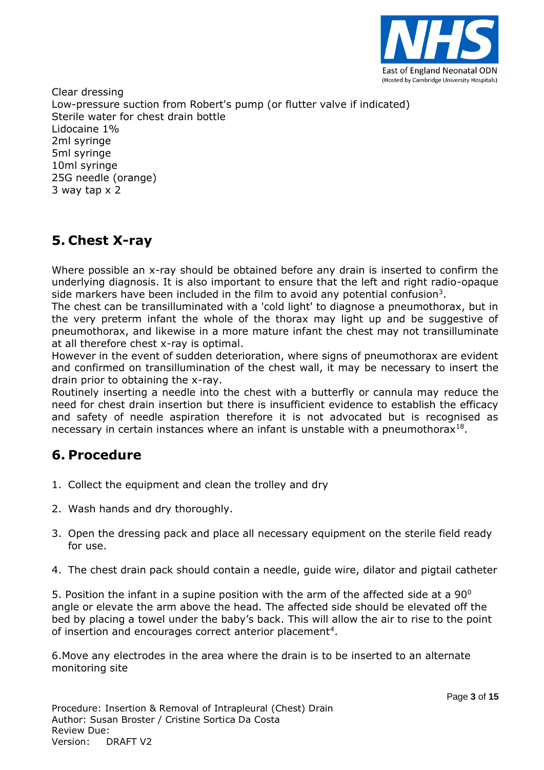

Clear dressing Low-pressure suction from Robert's pump (or flutter valve if indicated) Sterile water for chest drain bottle Lidocaine 1% 2ml syringe 5ml syringe 10ml syringe 25G needle (orange) 3 way tap x 2

# **5. Chest X-ray**

Where possible an x-ray should be obtained before any drain is inserted to confirm the underlying diagnosis. It is also important to ensure that the left and right radio-opaque side markers have been included in the film to avoid any potential confusion<sup>3</sup>.

The chest can be transilluminated with a 'cold light' to diagnose a pneumothorax, but in the very preterm infant the whole of the thorax may light up and be suggestive of pneumothorax, and likewise in a more mature infant the chest may not transilluminate at all therefore chest x-ray is optimal.

However in the event of sudden deterioration, where signs of pneumothorax are evident and confirmed on transillumination of the chest wall, it may be necessary to insert the drain prior to obtaining the x-ray.

Routinely inserting a needle into the chest with a butterfly or cannula may reduce the need for chest drain insertion but there is insufficient evidence to establish the efficacy and safety of needle aspiration therefore it is not advocated but is recognised as necessary in certain instances where an infant is unstable with a pneumothorax<sup>18</sup>.

### **6. Procedure**

- 1. Collect the equipment and clean the trolley and dry
- 2. Wash hands and dry thoroughly.
- 3. Open the dressing pack and place all necessary equipment on the sterile field ready for use.
- 4. The chest drain pack should contain a needle, guide wire, dilator and pigtail catheter

5. Position the infant in a supine position with the arm of the affected side at a  $90^{\circ}$ angle or elevate the arm above the head. The affected side should be elevated off the bed by placing a towel under the baby's back. This will allow the air to rise to the point of insertion and encourages correct anterior placement<sup>4</sup>.

6.Move any electrodes in the area where the drain is to be inserted to an alternate monitoring site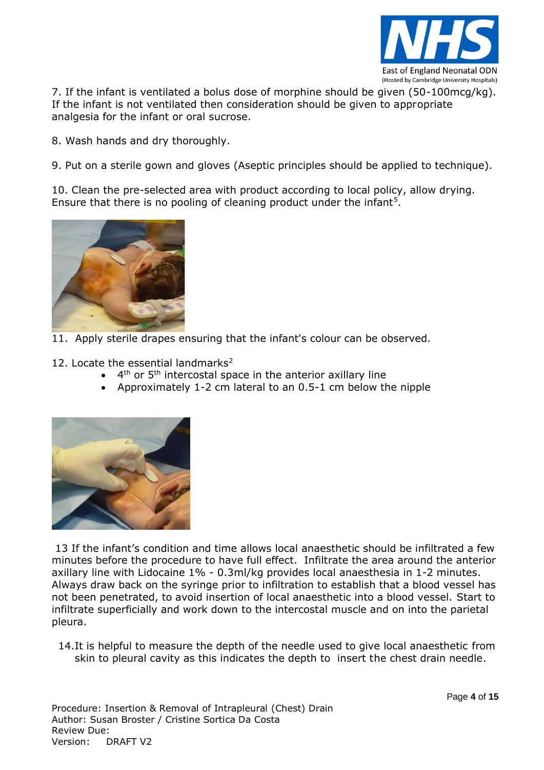

7. If the infant is ventilated a bolus dose of morphine should be given (50-100mcg/kg). If the infant is not ventilated then consideration should be given to appropriate analgesia for the infant or oral sucrose.

8. Wash hands and dry thoroughly.

9. Put on a sterile gown and gloves (Aseptic principles should be applied to technique).

10. Clean the pre-selected area with product according to local policy, allow drying. Ensure that there is no pooling of cleaning product under the infant<sup>5</sup>.



11. Apply sterile drapes ensuring that the infant's colour can be observed.

12. Locate the essential landmarks<sup>2</sup>

- $\bullet$  4<sup>th</sup> or 5<sup>th</sup> intercostal space in the anterior axillary line
- Approximately 1-2 cm lateral to an 0.5-1 cm below the nipple



13 If the infant's condition and time allows local anaesthetic should be infiltrated a few minutes before the procedure to have full effect. Infiltrate the area around the anterior axillary line with Lidocaine 1% - 0.3ml/kg provides local anaesthesia in 1-2 minutes. Always draw back on the syringe prior to infiltration to establish that a blood vessel has not been penetrated, to avoid insertion of local anaesthetic into a blood vessel. Start to infiltrate superficially and work down to the intercostal muscle and on into the parietal pleura.

14.It is helpful to measure the depth of the needle used to give local anaesthetic from skin to pleural cavity as this indicates the depth to insert the chest drain needle.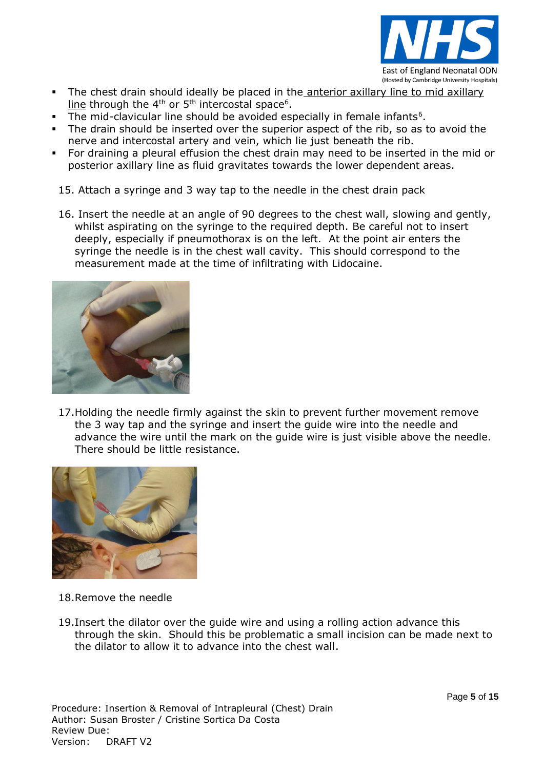

- The chest drain should ideally be placed in the anterior axillary line to mid axillary line through the 4<sup>th</sup> or 5<sup>th</sup> intercostal space<sup>6</sup>.
- The mid-clavicular line should be avoided especially in female infants<sup>6</sup>.
- The drain should be inserted over the superior aspect of the rib, so as to avoid the nerve and intercostal artery and vein, which lie just beneath the rib.
- For draining a pleural effusion the chest drain may need to be inserted in the mid or posterior axillary line as fluid gravitates towards the lower dependent areas.

15. Attach a syringe and 3 way tap to the needle in the chest drain pack

16. Insert the needle at an angle of 90 degrees to the chest wall, slowing and gently, whilst aspirating on the syringe to the required depth. Be careful not to insert deeply, especially if pneumothorax is on the left. At the point air enters the syringe the needle is in the chest wall cavity. This should correspond to the measurement made at the time of infiltrating with Lidocaine.



17.Holding the needle firmly against the skin to prevent further movement remove the 3 way tap and the syringe and insert the guide wire into the needle and advance the wire until the mark on the guide wire is just visible above the needle. There should be little resistance.



- 18.Remove the needle
- 19.Insert the dilator over the guide wire and using a rolling action advance this through the skin. Should this be problematic a small incision can be made next to the dilator to allow it to advance into the chest wall.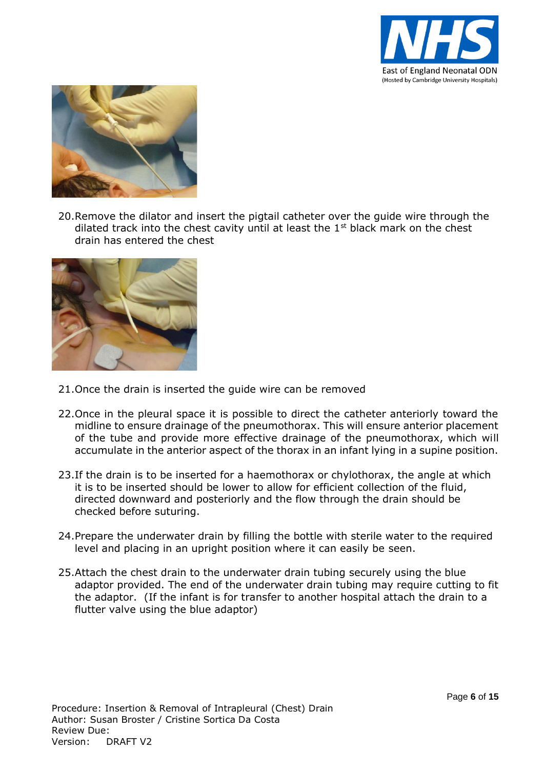



20.Remove the dilator and insert the pigtail catheter over the guide wire through the dilated track into the chest cavity until at least the  $1<sup>st</sup>$  black mark on the chest drain has entered the chest



- 21.Once the drain is inserted the guide wire can be removed
- 22.Once in the pleural space it is possible to direct the catheter anteriorly toward the midline to ensure drainage of the pneumothorax. This will ensure anterior placement of the tube and provide more effective drainage of the pneumothorax, which will accumulate in the anterior aspect of the thorax in an infant lying in a supine position.
- 23. If the drain is to be inserted for a haemothorax or chylothorax, the angle at which it is to be inserted should be lower to allow for efficient collection of the fluid, directed downward and posteriorly and the flow through the drain should be checked before suturing.
- 24.Prepare the underwater drain by filling the bottle with sterile water to the required level and placing in an upright position where it can easily be seen.
- 25.Attach the chest drain to the underwater drain tubing securely using the blue adaptor provided. The end of the underwater drain tubing may require cutting to fit the adaptor. (If the infant is for transfer to another hospital attach the drain to a flutter valve using the blue adaptor)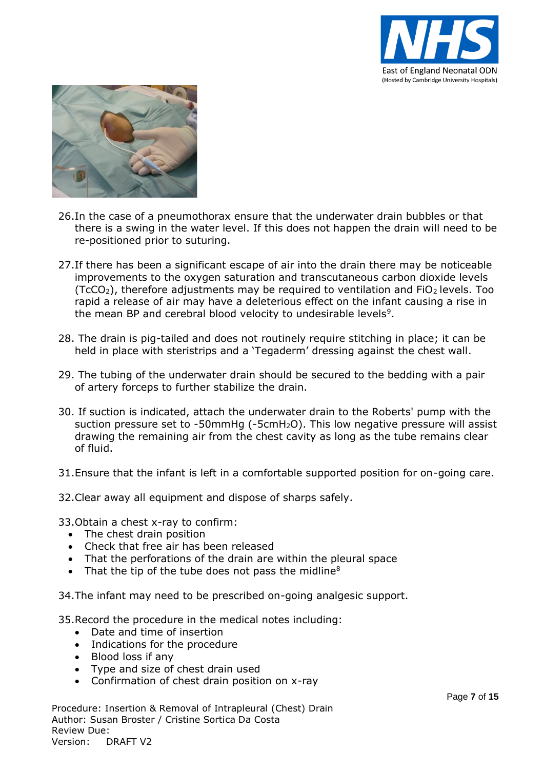



- 26.In the case of a pneumothorax ensure that the underwater drain bubbles or that there is a swing in the water level. If this does not happen the drain will need to be re-positioned prior to suturing.
- 27.If there has been a significant escape of air into the drain there may be noticeable improvements to the oxygen saturation and transcutaneous carbon dioxide levels  $(TcCO<sub>2</sub>)$ , therefore adjustments may be required to ventilation and FiO<sub>2</sub> levels. Too rapid a release of air may have a deleterious effect on the infant causing a rise in the mean BP and cerebral blood velocity to undesirable levels<sup>9</sup>.
- 28. The drain is pig-tailed and does not routinely require stitching in place; it can be held in place with steristrips and a 'Tegaderm' dressing against the chest wall.
- 29. The tubing of the underwater drain should be secured to the bedding with a pair of artery forceps to further stabilize the drain.
- 30. If suction is indicated, attach the underwater drain to the Roberts' pump with the suction pressure set to -50mmHg (-5cmH<sub>2</sub>O). This low negative pressure will assist drawing the remaining air from the chest cavity as long as the tube remains clear of fluid.
- 31.Ensure that the infant is left in a comfortable supported position for on-going care.
- 32.Clear away all equipment and dispose of sharps safely.
- 33.Obtain a chest x-ray to confirm:
	- The chest drain position
	- Check that free air has been released
	- That the perforations of the drain are within the pleural space
	- That the tip of the tube does not pass the midline<sup>8</sup>
- 34.The infant may need to be prescribed on-going analgesic support.
- 35.Record the procedure in the medical notes including:
	- Date and time of insertion
	- Indications for the procedure
	- Blood loss if any
	- Type and size of chest drain used
	- Confirmation of chest drain position on x-ray

Procedure: Insertion & Removal of Intrapleural (Chest) Drain Author: Susan Broster / Cristine Sortica Da Costa Review Due: Version: DRAFT V2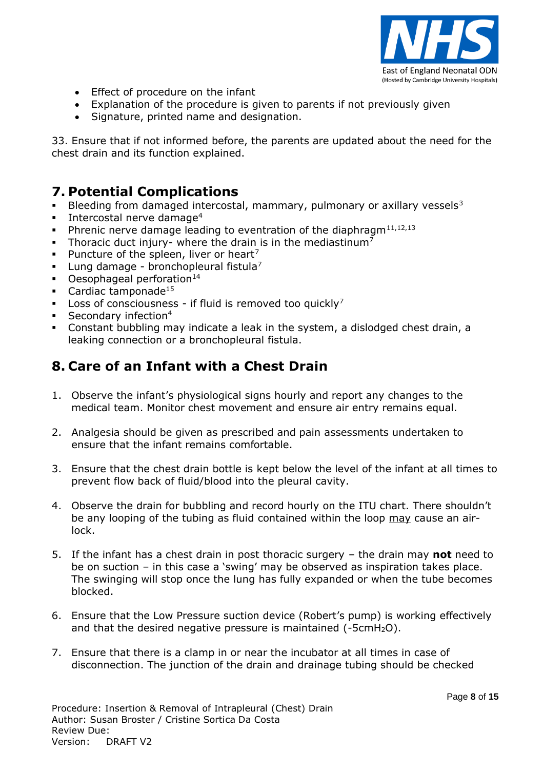

- Effect of procedure on the infant
- Explanation of the procedure is given to parents if not previously given
- Signature, printed name and designation.

33. Ensure that if not informed before, the parents are updated about the need for the chest drain and its function explained.

### **7. Potential Complications**

- Bleeding from damaged intercostal, mammary, pulmonary or axillary vessels<sup>3</sup>
- **Intercostal nerve damage**<sup>4</sup>
- Phrenic nerve damage leading to eventration of the diaphragm $11,12,13$
- Thoracic duct injury- where the drain is in the mediastinum<sup>7</sup>
- Puncture of the spleen, liver or heart<sup>7</sup>
- Lung damage bronchopleural fistula<sup>7</sup>
- $\blacksquare$  Oesophageal perforation<sup>14</sup>
- Cardiac tamponade<sup>15</sup>
- **Loss of consciousness** if fluid is removed too quickly<sup>7</sup>
- Secondary infection<sup>4</sup>
- Constant bubbling may indicate a leak in the system, a dislodged chest drain, a leaking connection or a bronchopleural fistula.

# **8. Care of an Infant with a Chest Drain**

- 1. Observe the infant's physiological signs hourly and report any changes to the medical team. Monitor chest movement and ensure air entry remains equal.
- 2. Analgesia should be given as prescribed and pain assessments undertaken to ensure that the infant remains comfortable.
- 3. Ensure that the chest drain bottle is kept below the level of the infant at all times to prevent flow back of fluid/blood into the pleural cavity.
- 4. Observe the drain for bubbling and record hourly on the ITU chart. There shouldn't be any looping of the tubing as fluid contained within the loop may cause an airlock.
- 5. If the infant has a chest drain in post thoracic surgery the drain may **not** need to be on suction – in this case a 'swing' may be observed as inspiration takes place. The swinging will stop once the lung has fully expanded or when the tube becomes blocked.
- 6. Ensure that the Low Pressure suction device (Robert's pump) is working effectively and that the desired negative pressure is maintained (-5cmH<sub>2</sub>O).
- 7. Ensure that there is a clamp in or near the incubator at all times in case of disconnection. The junction of the drain and drainage tubing should be checked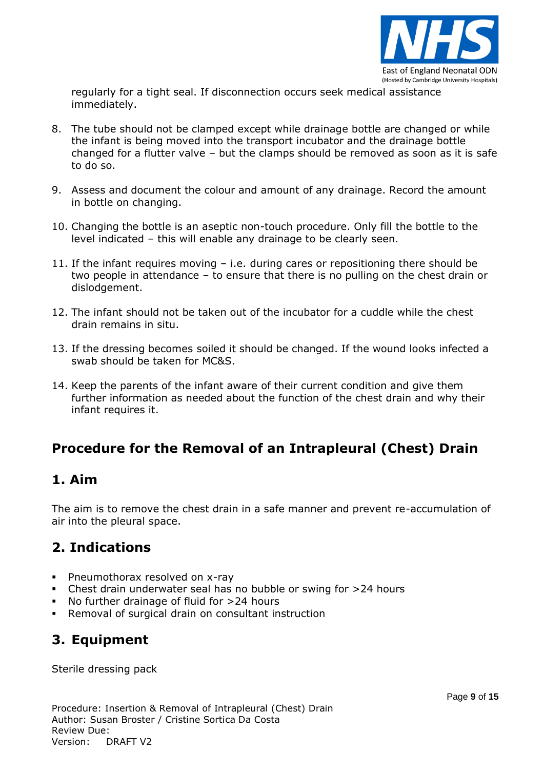

regularly for a tight seal. If disconnection occurs seek medical assistance immediately.

- 8. The tube should not be clamped except while drainage bottle are changed or while the infant is being moved into the transport incubator and the drainage bottle changed for a flutter valve – but the clamps should be removed as soon as it is safe to do so.
- 9. Assess and document the colour and amount of any drainage. Record the amount in bottle on changing.
- 10. Changing the bottle is an aseptic non-touch procedure. Only fill the bottle to the level indicated – this will enable any drainage to be clearly seen.
- 11. If the infant requires moving i.e. during cares or repositioning there should be two people in attendance – to ensure that there is no pulling on the chest drain or dislodgement.
- 12. The infant should not be taken out of the incubator for a cuddle while the chest drain remains in situ.
- 13. If the dressing becomes soiled it should be changed. If the wound looks infected a swab should be taken for MC&S.
- 14. Keep the parents of the infant aware of their current condition and give them further information as needed about the function of the chest drain and why their infant requires it.

# **Procedure for the Removal of an Intrapleural (Chest) Drain**

#### **1. Aim**

The aim is to remove the chest drain in a safe manner and prevent re-accumulation of air into the pleural space.

### **2. Indications**

- **Pheumothorax resolved on x-ray**
- Chest drain underwater seal has no bubble or swing for >24 hours
- No further drainage of fluid for >24 hours
- Removal of surgical drain on consultant instruction

# **3. Equipment**

Sterile dressing pack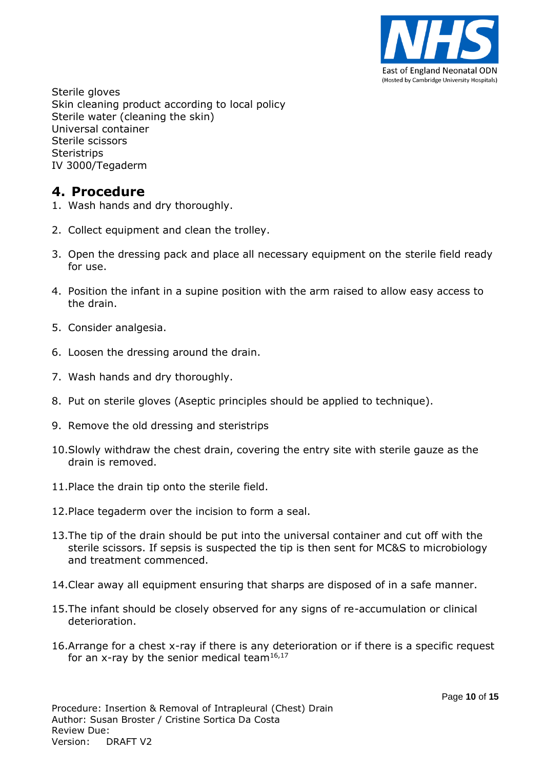

Sterile gloves Skin cleaning product according to local policy Sterile water (cleaning the skin) Universal container Sterile scissors **Steristrips** IV 3000/Tegaderm

#### **4. Procedure**

- 1. Wash hands and dry thoroughly.
- 2. Collect equipment and clean the trolley.
- 3. Open the dressing pack and place all necessary equipment on the sterile field ready for use.
- 4. Position the infant in a supine position with the arm raised to allow easy access to the drain.
- 5. Consider analgesia.
- 6. Loosen the dressing around the drain.
- 7. Wash hands and dry thoroughly.
- 8. Put on sterile gloves (Aseptic principles should be applied to technique).
- 9. Remove the old dressing and steristrips
- 10.Slowly withdraw the chest drain, covering the entry site with sterile gauze as the drain is removed.
- 11.Place the drain tip onto the sterile field.
- 12.Place tegaderm over the incision to form a seal.
- 13.The tip of the drain should be put into the universal container and cut off with the sterile scissors. If sepsis is suspected the tip is then sent for MC&S to microbiology and treatment commenced.
- 14.Clear away all equipment ensuring that sharps are disposed of in a safe manner.
- 15.The infant should be closely observed for any signs of re-accumulation or clinical deterioration.
- 16.Arrange for a chest x-ray if there is any deterioration or if there is a specific request for an x-ray by the senior medical team<sup>16,17</sup>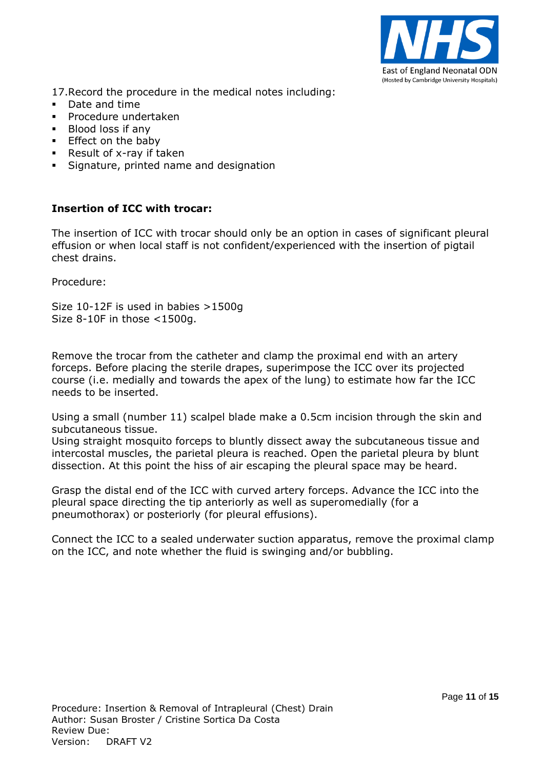

17.Record the procedure in the medical notes including:

- Date and time
- **Procedure undertaken**
- **Blood loss if any**
- **Effect on the baby**
- Result of  $x$ -ray if taken
- Signature, printed name and designation

#### **Insertion of ICC with trocar:**

The insertion of ICC with trocar should only be an option in cases of significant pleural effusion or when local staff is not confident/experienced with the insertion of pigtail chest drains.

Procedure:

Size 10-12F is used in babies >1500g Size 8-10F in those <1500g.

Remove the trocar from the catheter and clamp the proximal end with an artery forceps. Before placing the sterile drapes, superimpose the ICC over its projected course (i.e. medially and towards the apex of the lung) to estimate how far the ICC needs to be inserted.

Using a small (number 11) scalpel blade make a 0.5cm incision through the skin and subcutaneous tissue.

Using straight mosquito forceps to bluntly dissect away the subcutaneous tissue and intercostal muscles, the parietal pleura is reached. Open the parietal pleura by blunt dissection. At this point the hiss of air escaping the pleural space may be heard.

Grasp the distal end of the ICC with curved artery forceps. Advance the ICC into the pleural space directing the tip anteriorly as well as superomedially (for a pneumothorax) or posteriorly (for pleural effusions).

Connect the ICC to a sealed underwater suction apparatus, remove the proximal clamp on the ICC, and note whether the fluid is swinging and/or bubbling.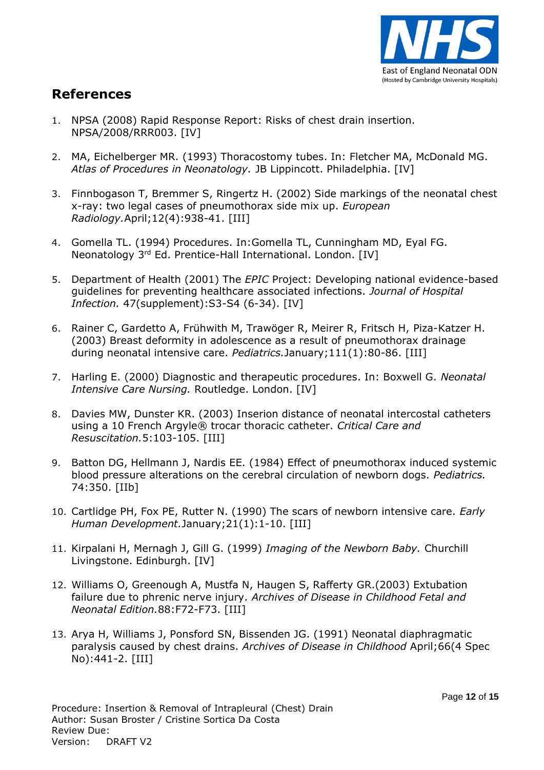

### **References**

- 1. NPSA (2008) Rapid Response Report: Risks of chest drain insertion. NPSA/2008/RRR003. [IV]
- 2. MA, Eichelberger MR. (1993) Thoracostomy tubes. In: Fletcher MA, McDonald MG. *Atlas of Procedures in Neonatology.* JB Lippincott. Philadelphia. [IV]
- 3. Finnbogason T, Bremmer S, Ringertz H. (2002) Side markings of the neonatal chest x-ray: two legal cases of pneumothorax side mix up. *European Radiology.*April;12(4):938-41. [III]
- 4. Gomella TL. (1994) Procedures. In:Gomella TL, Cunningham MD, Eyal FG. Neonatology 3rd Ed. Prentice-Hall International. London. [IV]
- 5. Department of Health (2001) The *EPIC* Project: Developing national evidence-based guidelines for preventing healthcare associated infections. *Journal of Hospital Infection.* 47(supplement):S3-S4 (6-34). [IV]
- 6. Rainer C, Gardetto A, Frühwith M, Trawöger R, Meirer R, Fritsch H, Piza-Katzer H. (2003) Breast deformity in adolescence as a result of pneumothorax drainage during neonatal intensive care. *Pediatrics.*January;111(1):80-86. [III]
- 7. Harling E. (2000) Diagnostic and therapeutic procedures. In: Boxwell G. *Neonatal Intensive Care Nursing.* Routledge. London. [IV]
- 8. Davies MW, Dunster KR. (2003) Inserion distance of neonatal intercostal catheters using a 10 French Argyle® trocar thoracic catheter. *Critical Care and Resuscitation.*5:103-105. [III]
- 9. Batton DG, Hellmann J, Nardis EE. (1984) Effect of pneumothorax induced systemic blood pressure alterations on the cerebral circulation of newborn dogs. *Pediatrics.*  74:350. [IIb]
- 10. Cartlidge PH, Fox PE, Rutter N. (1990) The scars of newborn intensive care. *Early Human Development.*January;21(1):1-10. [III]
- 11. Kirpalani H, Mernagh J, Gill G. (1999) *Imaging of the Newborn Baby.* Churchill Livingstone. Edinburgh. [IV]
- 12. Williams O, Greenough A, Mustfa N, Haugen S, Rafferty GR.(2003) Extubation failure due to phrenic nerve injury. *Archives of Disease in Childhood Fetal and Neonatal Edition.*88:F72-F73. [III]
- 13. Arya H, Williams J, Ponsford SN, Bissenden JG. (1991) Neonatal diaphragmatic paralysis caused by chest drains. *Archives of Disease in Childhood* April;66(4 Spec No):441-2. [III]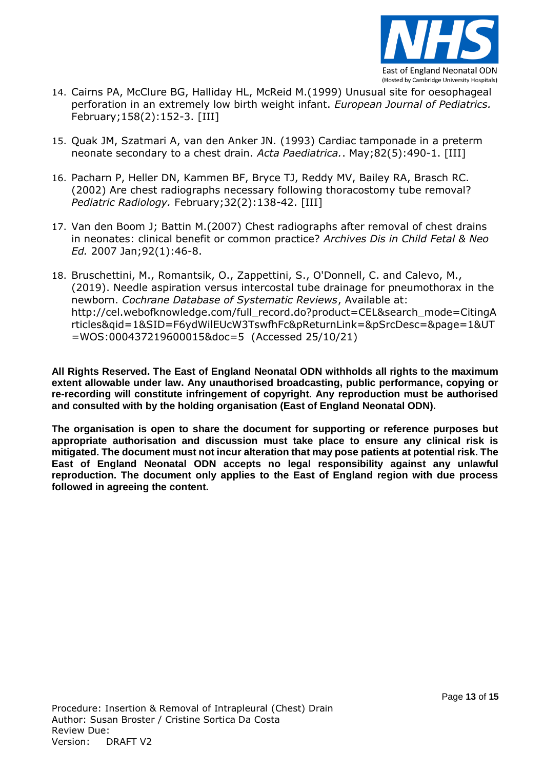

- 14. Cairns PA, McClure BG, Halliday HL, McReid M.(1999) Unusual site for oesophageal perforation in an extremely low birth weight infant. *European Journal of Pediatrics.*  February;158(2):152-3. [III]
- 15. Quak JM, Szatmari A, van den Anker JN. (1993) Cardiac tamponade in a preterm neonate secondary to a chest drain. *Acta Paediatrica.*. May;82(5):490-1. [III]
- 16. Pacharn P, Heller DN, Kammen BF, Bryce TJ, Reddy MV, Bailey RA, Brasch RC. (2002) Are chest radiographs necessary following thoracostomy tube removal? *Pediatric Radiology.* February;32(2):138-42. [III]
- 17. Van den Boom J; Battin M.(2007) Chest radiographs after removal of chest drains in neonates: clinical benefit or common practice? *Archives Dis in Child Fetal & Neo Ed.* 2007 Jan;92(1):46-8.
- 18. Bruschettini, M., Romantsik, O., Zappettini, S., O'Donnell, C. and Calevo, M., (2019). Needle aspiration versus intercostal tube drainage for pneumothorax in the newborn. *Cochrane Database of Systematic Reviews*, Available at: http://cel.webofknowledge.com/full\_record.do?product=CEL&search\_mode=CitingA rticles&qid=1&SID=F6ydWilEUcW3TswfhFc&pReturnLink=&pSrcDesc=&page=1&UT =WOS:000437219600015&doc=5 (Accessed 25/10/21)

**All Rights Reserved. The East of England Neonatal ODN withholds all rights to the maximum extent allowable under law. Any unauthorised broadcasting, public performance, copying or re-recording will constitute infringement of copyright. Any reproduction must be authorised and consulted with by the holding organisation (East of England Neonatal ODN).**

**The organisation is open to share the document for supporting or reference purposes but appropriate authorisation and discussion must take place to ensure any clinical risk is mitigated. The document must not incur alteration that may pose patients at potential risk. The East of England Neonatal ODN accepts no legal responsibility against any unlawful reproduction. The document only applies to the East of England region with due process followed in agreeing the content.**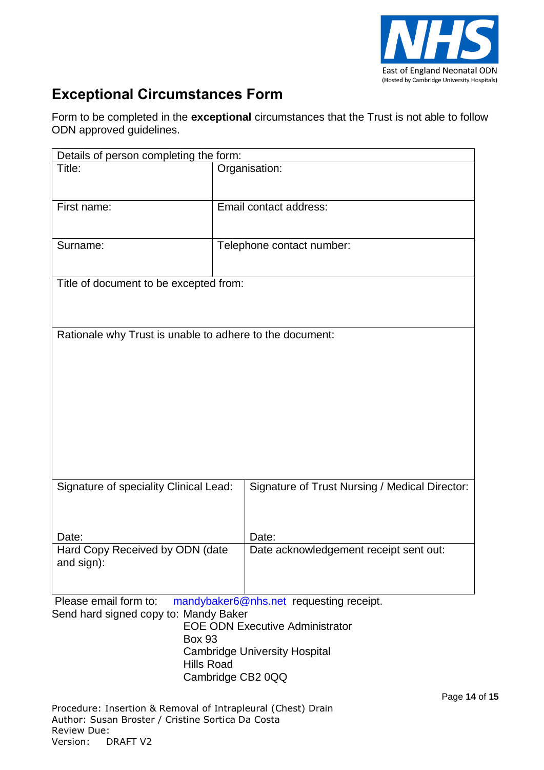

# **Exceptional Circumstances Form**

Form to be completed in the **exceptional** circumstances that the Trust is not able to follow ODN approved guidelines.

| Details of person completing the form:                           |                                                 |  |  |  |
|------------------------------------------------------------------|-------------------------------------------------|--|--|--|
| Title:                                                           | Organisation:                                   |  |  |  |
|                                                                  |                                                 |  |  |  |
| First name:                                                      | Email contact address:                          |  |  |  |
|                                                                  |                                                 |  |  |  |
| Surname:                                                         | Telephone contact number:                       |  |  |  |
|                                                                  |                                                 |  |  |  |
| Title of document to be excepted from:                           |                                                 |  |  |  |
|                                                                  |                                                 |  |  |  |
|                                                                  |                                                 |  |  |  |
| Rationale why Trust is unable to adhere to the document:         |                                                 |  |  |  |
|                                                                  |                                                 |  |  |  |
|                                                                  |                                                 |  |  |  |
|                                                                  |                                                 |  |  |  |
|                                                                  |                                                 |  |  |  |
|                                                                  |                                                 |  |  |  |
|                                                                  |                                                 |  |  |  |
|                                                                  |                                                 |  |  |  |
| Signature of speciality Clinical Lead:                           | Signature of Trust Nursing / Medical Director:  |  |  |  |
|                                                                  |                                                 |  |  |  |
|                                                                  |                                                 |  |  |  |
| Date:<br>Hard Copy Received by ODN (date                         | Date:<br>Date acknowledgement receipt sent out: |  |  |  |
| and sign):                                                       |                                                 |  |  |  |
|                                                                  |                                                 |  |  |  |
| Please email form to:                                            | mandybaker6@nhs.net requesting receipt.         |  |  |  |
| Send hard signed copy to: Mandy Baker                            | <b>EOE ODN Executive Administrator</b>          |  |  |  |
| <b>Box 93</b>                                                    |                                                 |  |  |  |
|                                                                  | <b>Cambridge University Hospital</b>            |  |  |  |
| <b>Hills Road</b>                                                | Cambridge CB2 0QQ                               |  |  |  |
|                                                                  | Page 14 of 15                                   |  |  |  |
| Procedure: Insertion & Removal of Intrapleural (Chest) Drain     |                                                 |  |  |  |
| Author: Susan Broster / Cristine Sortica Da Costa<br>Review Due: |                                                 |  |  |  |